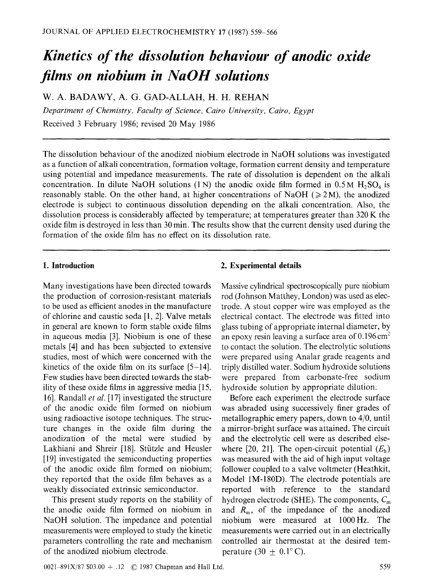# *Kinetics of the dissolution behaviour of anodic oxide films on niobium in NaOH solutions*

W. A. BADAWY, A. G. GAD-ALLAH, H. H. REHAN

*Department of Chemistry, Faculty of Science, Cairo University, Cairo, Egypt*  Received 3 February 1986; revised 20 May 1986

The dissolution behaviour of the anodized niobium electrode in NaOH solutions was investigated as a function of alkali concentration, formation voltage, formation current density and temperature using potential and impedance measurements. The rate of dissolution is dependent on the alkali concentration. In dilute NaOH solutions  $(1 N)$  the anodic oxide film formed in 0.5 M H<sub>2</sub>SO<sub>4</sub> is reasonably stable. On the other hand, at higher concentrations of NaOH ( $\geq$ 2M), the anodized electrode is subject to continuous dissolution depending on the alkali concentration. Also, the dissolution process is considerably affected by temperature; at temperatures greater than 320 K the oxide film is destroyed in less than 30 min. The results show that the current density used during the formation of the oxide film has no effect on its dissolution rate.

Many investigations have been directed towards **the** production of corrosion-resistant materials to be used as efficient anodes in the manufacture of chlorine and caustic soda [1, 2]. Valve metals in general are known to form stable oxide films in aqueous media [3]. Niobium is one of these metals [4] and has been subjected to extensive studies, most of which were concerned with **the**  kinetics of the oxide film on its surface [5-14]. Few studies have been directed towards the stability of these oxide films in aggressive media [15, 16]. Randall *et al.* [17] investigated the structure of the anodic oxide film formed on niobium using radioactive isotope techniques. The structure changes in the oxide film during the anodization of the metal were studied by Lakhiani and Shreir [18]. Stützle and Heusler [19] investigated the semiconducting properties of the anodic oxide film formed on niobium; they reported that the oxide film behaves as a weakly dissociated extrinsic semiconductor.

This present study reports on the stability of **the** anodic oxide film formed on niobium in NaOH solution. The impedance and potential measurements were employed to study the kinetic parameters controlling the rate and mechanism of the anodized niobium electrode.

#### **1. Introduction 2. Experimental details**

Massive cylindrical spectroscopically pure niobium rod (Johnson Matthey, London) was used as electrode. A stout copper wire was employed as the electrical contact. The electrode was fitted into glass tubing of appropriate internal diameter, by an epoxy resin leaving a surface area of  $0.196 \text{ cm}^2$ to contact the solution. The electrolytic solutions were prepared using Analar grade reagents and triply distilled water. Sodium hydroxide solutions were prepared from carbonate-free sodium hydroxide solution by appropriate dilution.

Before each experiment the electrode surface was abraded using successively finer grades of metallographic emery papers, down to 4/0, until a mirror-bright surface was attained. The circuit and the electrolytic cell were as described elsewhere [20, 21]. The open-circuit potential  $(E_h)$ was measured with the aid of high input voltage follower coupled to a valve voltmeter (Heathkit, Model 1M-180D). The electrode potentials **are**  reported with reference to the standard hydrogen electrode (SHE). The components,  $C_m$ and  $R_{\rm m}$ , of the impedance of the anodized niobium were measured at 1000Hz. The measurements were carried out in an electrically controlled air thermostat at the desired temperature (30  $\pm$  0.1 $\degree$  C).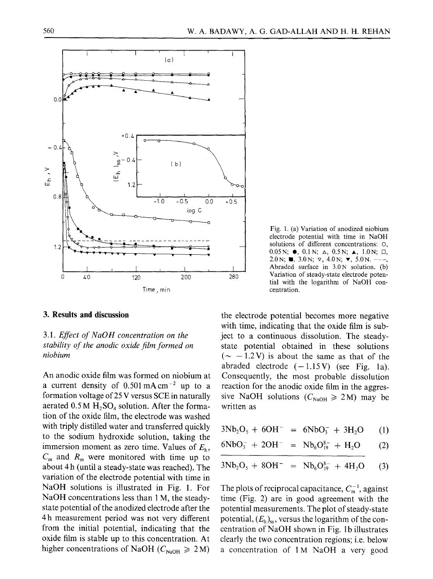

**3. Results and discussion** 

# *3.1. Effect of NaOH concentration on the stability of the anodic oxide film formed on niobium*

An anodic oxide film was formed on niobium at a current density of  $0.501 \text{ mA cm}^{-2}$  up to a formation voltage of 25 V versus SCE in naturally aerated  $0.5 M H_2SO_4$  solution. After the formation of the oxide film, the electrode was washed with triply distilled water and transferred quickly to the sodium hydroxide solution, taking the immersion moment as zero time. Values of  $E<sub>h</sub>$ ,  $C_m$  and  $R_m$  were monitored with time up to about 4 h (until a steady-state was reached). The variation of the electrode potential with time in NaOH solutions is illustrated in Fig. 1. For NaOH concentrations less than 1 M, the steadystate potential of the anodized electrode after the 4 h measurement period was not very different from the initial potential, indicating that the oxide film is stable up to this concentration. At higher concentrations of NaOH ( $C_{\text{NaOH}} \geq 2 \text{ M}$ )



the electrode potential becomes more negative with time, indicating that the oxide film is subject to a continuous dissolution. The steadystate potential obtained in these solutions  $({\sim} -1.2V)$  is about the same as that of the abraded electrode  $(-1.15 \text{ V})$  (see Fig. 1a). Consequently, the most probable dissolution reaction for the anodic oxide film in the aggressive NaOH solutions ( $C_{\text{NaOH}} \ge 2$ M) may be written as

 $3Nb<sub>2</sub>O<sub>5</sub> + 6OH^- = 6NbO<sub>3</sub><sup>-</sup> + 3H<sub>2</sub>O$  (1)

$$
6NbO_3^- + 2OH^- = Nb_6O_{19}^{8-} + H_2O \qquad (2)
$$

$$
3Nb_2O_5 + 8OH^- = Nb_6O_{19}^{8-} + 4H_2O \qquad (3)
$$

The plots of reciprocal capacitance,  $C_m^{-1}$ , against time (Fig. 2) are in good agreement with the potential measurements. The plot of steady-state potential,  $(E_h)_{ss}$ , versus the logarithm of the concentration of NaOH shown in Fig. lb illustrates clearly the two concentration regions; i.e. below a concentration of 1 M NaOH a very good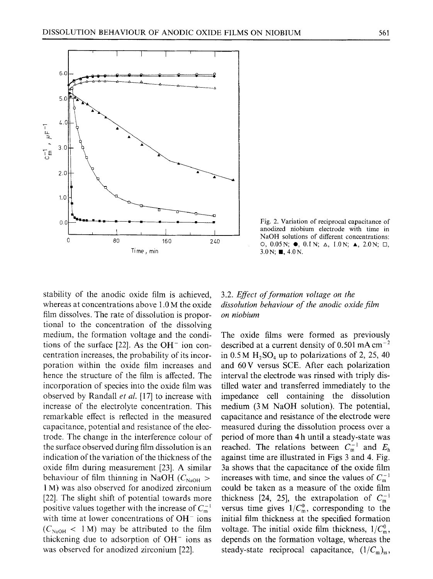

Fig. 2. Variation of reciprocal capacitance of anodized niobium electrode with time in NaOH solutions of different concentrations: O, 0.05N;  $\bullet$ , 0.1N;  $\Delta$ , 1.0N;  $\Delta$ , 2.0N;  $\Box$ ,  $3.0\,\text{N}; \blacksquare, 4.0\,\text{N}.$ 

stability of the anodic oxide film is achieved, whereas at concentrations above 1.0 M the oxide film dissolves. The rate of dissolution is proportional to the concentration of the dissolving medium, the formation voltage and the conditions of the surface  $[22]$ . As the OH<sup>-</sup> ion concentration increases, the probability of its incorporation within the oxide film increases and hence the structure of the film is affected. The incorporation of species into the oxide film was observed by Randall *et al.* [17] to increase with increase of the electrolyte concentration. This remarkable effect is reflected in the measured capacitance, potential and resistance of the electrode. The change in the interference colour of the surface observed during film dissolution is an indication of the variation of the thickness of the oxide film during measurement [23]. A similar behaviour of film thinning in NaOH ( $C_{\text{NaOH}} >$ 1 M) was also observed for anodized zirconium [22]. The slight shift of potential towards more positive values together with the increase of  $C_m^{-1}$ with time at lower concentrations of  $OH^-$  ions  $(C_{\text{NaOH}} < 1 \text{M})$  may be attributed to the film thickening due to adsorption of  $OH^-$  ions as was observed for anodized zirconium [22].

# 3.2. *Effect of formation voltage on the dissolution behaviour of the anodic oxide film on niobium*

The oxide films were formed as previously described at a current density of  $0.501$  mA cm<sup>-2</sup> in  $0.5 M H_2SO_4$  up to polarizations of 2, 25, 40 and 60V versus SCE. After each polarization interval the electrode was rinsed with triply distilled water and transferred immediately to the impedance cell containing the dissolution medium (3 M NaOH solution). The potential, capacitance and resistance of the electrode were measured during the dissolution process over a period of more than 4 h until a steady-state was reached. The relations between  $C_{m}^{-1}$  and  $E_{h}$ against time are illustrated in Figs 3 and 4. Fig. 3a shows that the capacitance of the oxide film increases with time, and since the values of  $C_{m}^{-1}$ could be taken as a measure of the oxide film thickness [24, 25], the extrapolation of  $C<sub>m</sub><sup>-1</sup>$ versus time gives  $1/C_m^0$ , corresponding to the initial film thickness at the specified formation voltage. The initial oxide film thickness,  $1/C_m^0$ , depends on the formation voltage, whereas the steady-state reciprocal capacitance,  $(1/C_m)_{ss}$ ,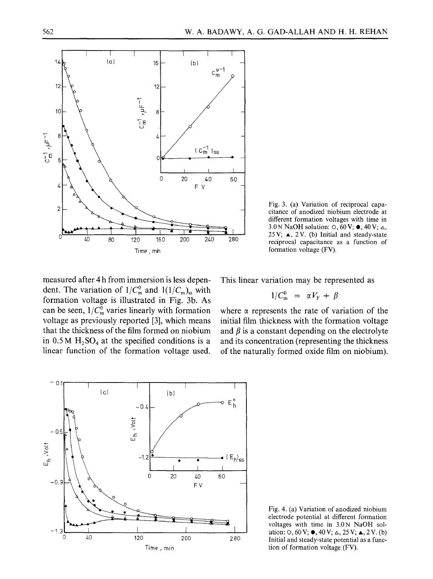

Fig. 3. (a) Variation of reciprocal capacitance of anodized niobium electrode at different formation voltages with time in 3.0 N NaOH solution:  $\circ$ ,  $60 \text{ V}$ ;  $\bullet$ ,  $40 \text{ V}$ ;  $\circ$ , 25V; A, 2V. (b) Initial and steady-state reciprocal capacitance as a function of formation voltage (FV).

measured after 4 h from immersion is less dependent. The variation of  $1/C_m^0$  and  $1(1/C_m)_{ss}$  with formation voltage is illustrated in Fig. 3b. As can be seen,  $1/\overline{C_m^0}$  varies linearly with formation voltage as previously reported [3], which means that the thickness of the film formed on niobium in  $0.5 M H_2SO_4$  at the specified conditions is a linear function of the formation voltage used. This linear variation may be represented as

$$
1/C_{\rm m}^0 = \alpha V_{\rm F} + \beta
$$

where  $\alpha$  represents the rate of variation of the initial film thickness with the formation voltage and  $\beta$  is a constant depending on the electrolyte and its concentration (representing the thickness of the naturally formed oxide film on niobium).



Fig. 4. (a) Variation of anodized niobium electrode potential at different formation voltages with time in 3.0N NaOH solution:  $\circ$ ,  $60 \text{ V}$ ;  $\bullet$ ,  $40 \text{ V}$ ;  $\triangle$ ,  $25 \text{ V}$ ;  $\triangle$ ,  $2 \text{ V}$ . (b) Initial and steady-state potential as a function of formation voltage (FV).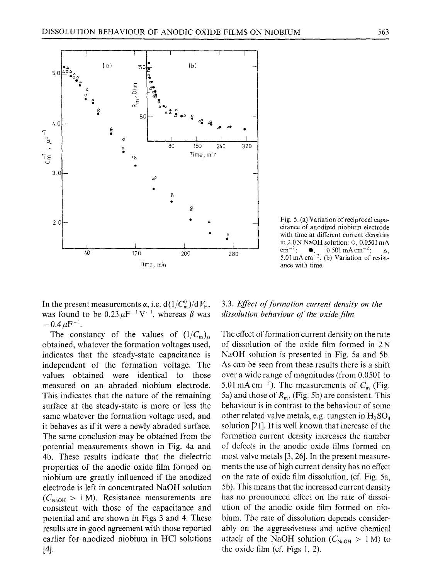

Fig. 5. (a) Variation of reciprocal capacitance of anodized niobium electrode with time at different current densities in 2.0N NaOH solution: O, 0.0501 mA cm<sup>-2</sup>;  $\bullet$ , 0.501 mAcm<sup>-2</sup>;  $\Delta$ , 5.01 mA  $cm^{-2}$ . (b) Variation of resistance with time.

In the present measurements  $\alpha$ , i.e.  $d(1/C_m^0)/dV_F$ , was found to be  $0.23 \mu F^{-1} V^{-1}$ , whereas  $\beta$  was  $-0.4~\mu F^{-1}$ .

The constancy of the values of  $(1/C_m)_{ss}$ obtained, whatever the formation voltages used, indicates that the steady-state capacitance is independent of the formation voltage. The values obtained were identical to those measured on an abraded niobium electrode. This indicates that the nature of the remaining surface at the steady-state is more or less the same whatever the formation voltage used, and it behaves as if it were a newly abraded surface. The same conclusion may be obtained from the potential measurements shown in Fig. 4a and 4b. These results indicate that the dielectric properties of the anodic oxide film formed on niobium are greatly influenced if the anodized electrode is left in concentrated NaOH solution  $(C_{\text{NaOH}} > 1 \text{ M})$ . Resistance measurements are consistent with those of the capacitance and potential and are shown in Figs 3 and 4. These results are in good agreement with those reported earlier for anodized niobium in HC1 solutions [4/.

### 3.3. *Effect of formation current density on the dissolution behaviour of the oxide film*

The effect of formation current density on the rate of dissolution of the oxide film formed in 2 N NaOH solution is presented in Fig. 5a and 5b. As can be seen from these results there is a shift over a wide range of magnitudes (from 0.0501 to 5.01 mA cm<sup>-2</sup>). The measurements of  $C<sub>m</sub>$  (Fig. 5a) and those of  $R<sub>m</sub>$ , (Fig. 5b) are consistent. This behaviour is in contrast to the behaviour of some other related valve metals, e.g. tungsten in  $H_2SO_4$ solution [21]. It is well known that increase of the formation current density increases the number of defects in the anodic oxide films formed on most valve metals [3, 26]. In the present measurements the use of high current density has no effect on the rate of oxide film dissolution, (cf. Fig. 5a, 5b). This means that the increased current density has no pronounced effect on the rate of dissolution of the anodic oxide film formed on niobium. The rate of dissolution depends considerably on the aggressiveness and active chemical attack of the NaOH solution ( $C_{\text{NaOH}} > 1$  M) to the oxide film (cf. Figs 1, 2).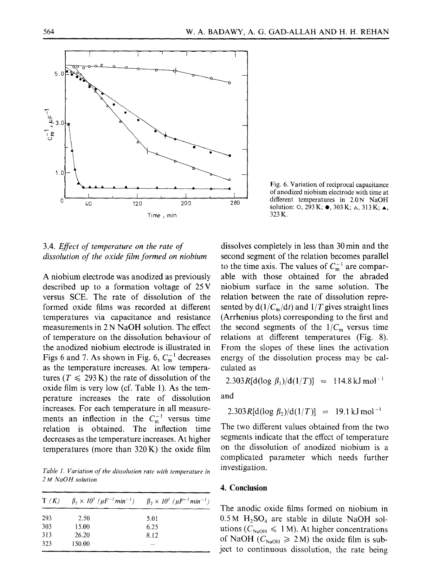

of anodized niobium electrode with time at different temperatures in 2.0N NaOH solution: O, 293 K;  $\bullet$ , 303 K;  $\triangle$ , 313 K;  $\triangle$ , 323K.

Fig. 6. Variation of reciprocal capacitance

# 3.4. *Effect of temperature on the rate of dissolution of the oxide film formed on niobium*

A niobium electrode was anodized as previously described up to a formation voltage of 25V versus SCE. The rate of dissolution of the formed oxide films was recorded at different temperatures via capacitance and resistance measurements in 2 N NaOH solution. The effect of temperature on the dissolution behaviour of the anodized niobium electrode is illustrated in Figs 6 and 7. As shown in Fig. 6,  $C_m^{-1}$  decreases as the temperature increases. At low temperatures ( $T \le 293 \text{ K}$ ) the rate of dissolution of the oxide film is very low (cf. Table 1). As the temperature increases the rate of dissolution increases. For each temperature in all measurements an inflection in the  $C_m^{-1}$  versus time relation is obtained, The inflection time decreases as the temperature increases. At higher temperatures (more than 320K) the oxide film

*Table 1. Variation of the dissolution rate with temperature in 2 M NaOH solution* 

| T(K) |        | $\beta_1 \times 10^3$ ( $\mu$ F <sup>-1</sup> min <sup>-1</sup> ) $\beta_2 \times 10^3$ ( $\mu$ F <sup>-1</sup> min <sup>-1</sup> ) |
|------|--------|-------------------------------------------------------------------------------------------------------------------------------------|
| 293  | 2.50   | 5.01                                                                                                                                |
| 303  | 15.00  | 6.25                                                                                                                                |
| 313  | 26.20  | 8.12                                                                                                                                |
| 323  | 150.00 |                                                                                                                                     |

dissolves completely in less than 30 min and the second segment of the relation becomes parallel to the time axis. The values of  $C_m^{-1}$  are comparable with those obtained for the abraded niobium surface in the same solution. The relation between the rate of dissolution represented by  $d(1/C_m/dt)$  and  $1/T$  gives straight lines (Arrhenius plots) corresponding to the first and the second segments of the  $1/C<sub>m</sub>$  versus time relations at different temperatures (Fig. 8). From the slopes of these lines the activation energy of the dissolution process may be calculated as

2.303R[d(log  $\beta_1$ )/d(1/T)] = 114.8 kJ mol<sup>-1</sup>

and

$$
2.303R[d(\log \beta_2)/d(1/T)] = 19.1 \,\mathrm{kJ\,mol^{-1}}
$$

The two different values obtained from the two segments indicate that the effect of temperature on the dissolution of anodized niobium is a complicated parameter which needs further investigation.

#### **4. Conclusion**

The anodic oxide films formed on niobium in  $0.5 M H<sub>2</sub>SO<sub>4</sub>$  are stable in dilute NaOH solutions ( $C_{\text{NaOH}} \le 1$  M). At higher concentrations of NaOH ( $C_{\text{NaOH}} \ge 2$  M) the oxide film is subject to continuous dissolution, the rate being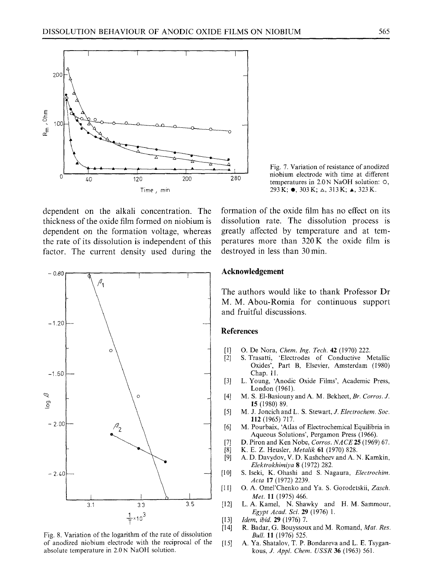

Fig. 7. Variation of resistance of anodized niobium electrode with time at different temperatures in 2.0 N NaOH solution: O,  $293K$ ;  $\bullet$ , 303K;  $\triangle$ , 313K;  $\triangle$ , 323K.

dependent on the alkali concentration. The thickness of the oxide film formed on niobium is dependent on the formation voltage, whereas the rate of its dissolution is independent of this factor. The current density used during the



Fig. 8. Variation of the logarithm of the rate of dissolution of anodized niobium electrode with the reciprocal of the absolute temperature in 2.0N NaOH solution.

formation of the oxide film has no effect on its dissolution rate. The dissolution process is greatly affected by temperature and at temperatures more than 320K the oxide film is destroyed in less than 30 min.

#### **Acknowledgement**

The authors would like to thank Professor Dr M. M. Abou-Romia for continuous support and fruitful discussions.

#### **References**

- [1] O. De Nora, *Chem. Ing. Tech.* 42 (1970) 222.
- S. Trasatti, 'Electrodes of Conductive Metallic Oxides', Part B, Elsevier, Amsterdam (1980) Chap. 11.
- [3] L. Young, 'Anodic Oxide Films', Academic Press, London (1961).
- [4] M, S. El-Basiouny and A. M. Bekheet, *Br. Corros. J.*  15 (1980) 89.
- [5] M. J. Joncich and L. S. Stewart, *J. Electrochem. Soc.* 112 (1965) 717.
- [6] M. Pourbaix, 'Atlas of Electrochemical Equilibria in Aqueous Solutions', Pergamon Press (1966).
- [7] D. Piron and Ken Nobe, *Corros. NACE* **25** (1969) 67.<br>[8] K. E. Z. Heusler, *Metalik* **61** (1970) 828.
- [8] K.E.Z. Heusler, *Metalik* 61 (1970) 828.
- [9] A.D. Davydov, V. D. Kashcheev and A. N. Kamkin, *Elektrokhimiya* 8 (1972) 282.
- [10] S. Iseki, K. Ohashi and S. Nagaura, *Electrochim. Acta* 17 (1972) 2239.
- [11] O.A. Omel'Chenko and Ya. S. Gorodetskii, *Zasch. Met.* ll (1975) 466.
- [12] L. A. Kamel, N. Shawky and H. M. Sammour, *Egypt Acad. Sci.* 29 (1976) 1.
- [13] *Idem, ibid.* 29 (1976) 7.
- [14] R. Badar, G. Bouyssoux and M. Romand, *Mat. Res. Bull.* 11 (1976) 525.
- [15] A. Ya. Shatalov, T. P. Bondareva and L. E. Tsygankous, *J. AppL Chem. USSR* 36 (1963) 561.